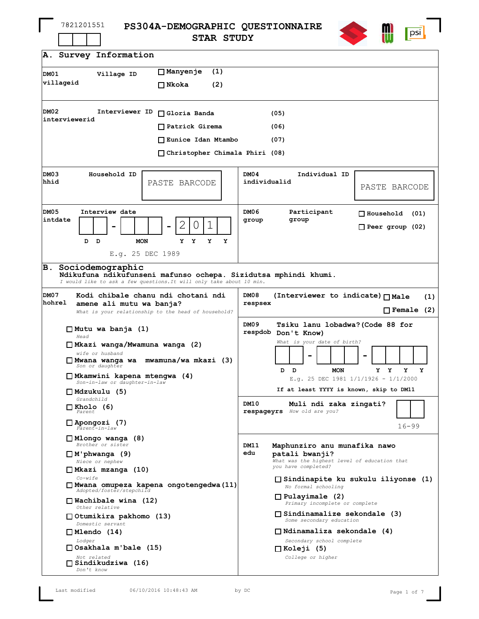| 7821201551 |
|------------|
|------------|

**PS304A-DEMOGRAPHIC QUESTIONNAIRE STAR STUDY**



| A. Survey Information                                                                                                                                                                                                                                                                                                                                                                                                         |                                                                                                                                                                                                                                                                                                                                                                                                                                                  |
|-------------------------------------------------------------------------------------------------------------------------------------------------------------------------------------------------------------------------------------------------------------------------------------------------------------------------------------------------------------------------------------------------------------------------------|--------------------------------------------------------------------------------------------------------------------------------------------------------------------------------------------------------------------------------------------------------------------------------------------------------------------------------------------------------------------------------------------------------------------------------------------------|
| □Manyenje<br>(1)<br>DM01<br>Village ID<br>villageid<br>$\square$ Nkoka<br>(2)                                                                                                                                                                                                                                                                                                                                                 |                                                                                                                                                                                                                                                                                                                                                                                                                                                  |
| DM02<br>Interviewer ID<br>$\Box$ Gloria Banda<br>interviewerid<br>$\Box$ Patrick Girema<br>□ Eunice Idan Mtambo<br>$\Box$ Christopher Chimala Phiri (08)                                                                                                                                                                                                                                                                      | (05)<br>(06)<br>(07)                                                                                                                                                                                                                                                                                                                                                                                                                             |
| DM03<br>Household ID<br>hhid<br>PASTE BARCODE                                                                                                                                                                                                                                                                                                                                                                                 | DM04<br>Individual ID<br>individualid<br>PASTE BARCODE                                                                                                                                                                                                                                                                                                                                                                                           |
| <b>DM05</b><br>Interview date<br>intdate<br>Τ<br>D<br>$\mathbf{D}$<br><b>MON</b><br>Y<br>Y<br>Y<br>Y<br>E.g. 25 DEC 1989                                                                                                                                                                                                                                                                                                      | DM06<br>Participant<br>$\Box$ Household<br>(01)<br>group<br>group<br>$\Box$ Peer group (02)                                                                                                                                                                                                                                                                                                                                                      |
| Sociodemographic<br>В.<br>Ndikufuna ndikufunseni mafunso ochepa. Sizidutsa mphindi khumi.<br>I would like to ask a few questions. It will only take about 10 min.                                                                                                                                                                                                                                                             |                                                                                                                                                                                                                                                                                                                                                                                                                                                  |
| DM07<br>Kodi chibale chanu ndi chotani ndi<br>hohrel<br>amene ali mutu wa banja?<br>What is your relationship to the head of household?                                                                                                                                                                                                                                                                                       | DM08<br>(Interviewer to indicate) □ Male<br>(1)<br>respsex<br>$\Box$ Female (2)                                                                                                                                                                                                                                                                                                                                                                  |
| $\Box$ Mutu wa banja (1)<br>Head<br>□ Mkazi wanga/Mwamuna wanga (2)<br>wife or husband<br>□ Mwana wanga wa mwamuna/wa mkazi (3)<br>Son or daughter<br>□ Mkamwini kapena mtengwa (4)<br>Son-in-law or daughter-in-law<br>$\Box$ Mdzukulu (5)<br>Grandchild<br>$\Box$ Kholo (6)<br>Parent<br>$\Box$ Apongozi (7)<br>Parent-in-law                                                                                               | DM09<br>Tsiku lanu lobadwa?(Code 88 for<br>respdob Don't Know)<br>What is your date of birth?<br>D<br><b>MON</b><br>Y Y<br>Y<br>Y<br>D<br>E.g. 25 DEC 1981 $1/1/1926 - 1/1/2000$<br>If at least YYYY is known, skip to DM11<br>DM10<br>Muli ndi zaka zingati?<br>respageyrs How old are you?<br>$16 - 99$                                                                                                                                        |
| $\Box$ Mlongo wanga (8)<br>Brother or sister<br>$\Box$ M'phwanga (9)<br>Niece or nephew<br>□ Mkazi mzanga (10)<br>Co-wife<br>□ Mwana omupeza kapena ongotengedwa(11)<br>Adopted/foster/stepchild<br>$\Box$ Wachibale wina (12)<br>Other relative<br>$\Box$ Otumikira pakhomo (13)<br>Domestic servant<br>$\Box$ Mlendo (14)<br>Lodger<br>$\Box$ Osakhala m'bale (15)<br>Not related<br>$\Box$ Sindikudziwa (16)<br>Don't know | DM11<br>Maphunziro anu munafika nawo<br>edu<br>patali bwanji?<br>What was the highest level of education that<br>you have completed?<br>$\Box$ Sindinapite ku sukulu iliyonse (1)<br>No formal schooling<br>$\Box$ Pulayimale (2)<br>Primary incomplete or complete<br>$\Box$ Sindinamalize sekondale (3)<br>Some secondary education<br>$\Box$ Ndinamaliza sekondale (4)<br>Secondary school complete<br>$\Box$ Koleji (5)<br>College or higher |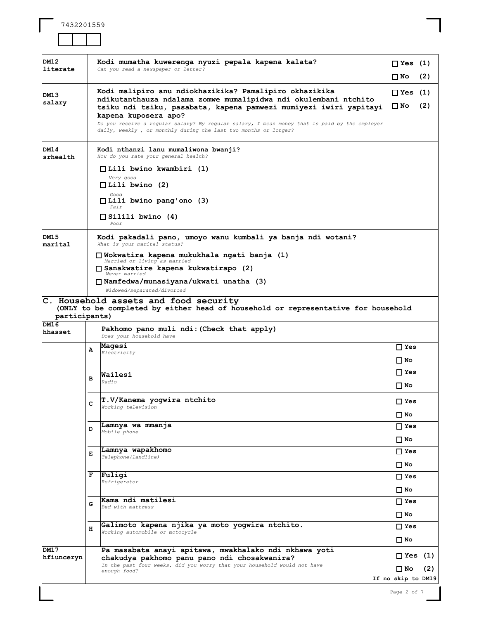| DM12               |   | Kodi mumatha kuwerenga nyuzi pepala kapena kalata?                                                                                                                                                                     |                            |     |
|--------------------|---|------------------------------------------------------------------------------------------------------------------------------------------------------------------------------------------------------------------------|----------------------------|-----|
| literate           |   | Can you read a newspaper or letter?                                                                                                                                                                                    | $\Box$ Yes (1)             |     |
|                    |   |                                                                                                                                                                                                                        | ∐ No                       | (2) |
| DM13<br>salary     |   | Kodi malipiro anu ndiokhazikika? Pamalipiro okhazikika<br>ndikutanthauza ndalama zomwe mumalipidwa ndi okulembani ntchito<br>tsiku ndi tsiku, pasabata, kapena pamwezi mumiyezi iwiri yapitayi<br>kapena kuposera apo? | $\Box$ Yes (1)<br>∐ No     | (2) |
|                    |   | Do you receive a regular salary? By regular salary, I mean money that is paid by the employer<br>daily, weekly, or monthly during the last two months or longer?                                                       |                            |     |
| DM14<br>srhealth   |   | Kodi nthanzi lanu mumaliwona bwanji?<br>How do you rate your general health?                                                                                                                                           |                            |     |
|                    |   | $\Box$ Lili bwino kwambiri (1)<br>Very good<br>$\Box$ Lili bwino (2)                                                                                                                                                   |                            |     |
|                    |   | Good<br>$\Box$ Lili bwino pang'ono (3)<br><i>Fair</i>                                                                                                                                                                  |                            |     |
|                    |   | $\Box$ Silili bwino (4)<br>Poor                                                                                                                                                                                        |                            |     |
| DM15<br>marital    |   | Kodi pakadali pano, umoyo wanu kumbali ya banja ndi wotani?<br>What is your marital status?                                                                                                                            |                            |     |
|                    |   | □ Wokwatira kapena mukukhala ngati banja (1)<br>Married or living as married                                                                                                                                           |                            |     |
|                    |   | □ Sanakwatire kapena kukwatirapo (2)<br>Never married                                                                                                                                                                  |                            |     |
|                    |   | □ Namfedwa/munasiyana/ukwati unatha (3)<br>Widowed/separated/divorced                                                                                                                                                  |                            |     |
| participants)      |   | C. Household assets and food security<br>(ONLY to be completed by either head of household or representative for household                                                                                             |                            |     |
| DM16<br>hhasset    |   | Pakhomo pano muli ndi: (Check that apply)<br>Does your household have                                                                                                                                                  |                            |     |
|                    | A | Maqesi<br>Electricity                                                                                                                                                                                                  | $\Box$ Yes<br>∐ No         |     |
|                    | в | Wailesi<br>Radio                                                                                                                                                                                                       | $\Box$ Yes<br>∐ No         |     |
|                    | с | T.V/Kanema yogwira ntchito<br>Working television                                                                                                                                                                       | $\Box$ Yes                 |     |
|                    |   |                                                                                                                                                                                                                        | □ No                       |     |
|                    | D | Lamnya wa mmanja<br>Mobile phone                                                                                                                                                                                       | $\Box$ Yes                 |     |
|                    |   |                                                                                                                                                                                                                        | $\square$ No               |     |
|                    | Е | Lamnya wapakhomo<br>Telephone (landline)                                                                                                                                                                               | $\Box$ Yes                 |     |
|                    |   |                                                                                                                                                                                                                        | $\square$ No               |     |
|                    | F | Fuligi<br>Refrigerator                                                                                                                                                                                                 | $\Box$ Yes<br>$\square$ No |     |
|                    | G | Kama ndi matilesi                                                                                                                                                                                                      | $\Box$ Yes                 |     |
|                    |   | Bed with mattress                                                                                                                                                                                                      | $\square$ No               |     |
|                    | н | Galimoto kapena njika ya moto yogwira ntchito.                                                                                                                                                                         | $\Box$ Yes                 |     |
|                    |   | Working automobile or motocycle                                                                                                                                                                                        | □ No                       |     |
| DM17<br>hfiunceryn |   | Pa masabata anayi apitawa, mwakhalako ndi nkhawa yoti<br>chakudya pakhomo panu pano ndi chosakwanira?                                                                                                                  | $\Box$ Yes (1)             |     |
|                    |   | In the past four weeks, did you worry that your household would not have<br>enough food?                                                                                                                               | Π No                       | (2) |
|                    |   |                                                                                                                                                                                                                        | If no skip to DM19         |     |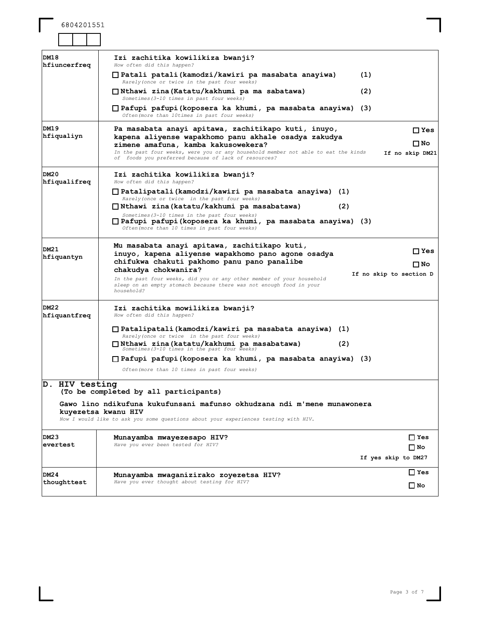6804201551

| DM18<br>hfiuncerfreq | Izi zachitika kowilikiza bwanji?<br>How often did this happen?                                                                                                                                                                                                                                   |                                       |
|----------------------|--------------------------------------------------------------------------------------------------------------------------------------------------------------------------------------------------------------------------------------------------------------------------------------------------|---------------------------------------|
|                      | □ Patali patali(kamodzi/kawiri pa masabata anayiwa)<br>(1)<br>Rarely (once or twice in the past four weeks)                                                                                                                                                                                      |                                       |
|                      | □ Nthawi zina(Katatu/kakhumi pa ma sabatawa)<br>(2)<br>Sometimes (3-10 times in past four weeks)                                                                                                                                                                                                 |                                       |
|                      | □ Pafupi pafupi(koposera ka khumi, pa masabata anayiwa) (3)<br>Often (more than 10times in past four weeks)                                                                                                                                                                                      |                                       |
| DM19<br>hfiqualiyn   | Pa masabata anayi apitawa, zachitikapo kuti, inuyo,<br>kapena aliyense wapakhomo panu akhale osadya zakudya<br>zimene amafuna, kamba kakusowekera?<br>In the past four weeks, were you or any household member not able to eat the kinds<br>of foods you preferred because of lack of resources? | $\Box$ Yes<br>∏ No<br>If no skip DM21 |
| DM20<br>hfiqualifreq | Izi zachitika kowilikiza bwanji?<br>How often did this happen?                                                                                                                                                                                                                                   |                                       |
|                      | □ Patalipatali(kamodzi/kawiri pa masabata anayiwa) (1)<br>Rarely (once or twice in the past four weeks)                                                                                                                                                                                          |                                       |
|                      | □ Nthawi zina(katatu/kakhumi pa masabatawa)<br>(2)                                                                                                                                                                                                                                               |                                       |
|                      | Sometimes (3-10 times in the past four weeks)<br>$\Box$ Pafupi pafupi(koposera ka khumi, pa masabata anayiwa) (3)<br>Often (more than 10 times in past four weeks)                                                                                                                               |                                       |
| DM21                 | Mu masabata anayi apitawa, zachitikapo kuti,                                                                                                                                                                                                                                                     | ⊟ Yes                                 |
| hfiquantyn           | inuyo, kapena aliyense wapakhomo pano aqone osadya<br>chifukwa chakuti pakhomo panu pano panalibe                                                                                                                                                                                                | ∏ No                                  |
|                      | chakudya chokwanira?                                                                                                                                                                                                                                                                             | If no skip to section D               |
|                      | In the past four weeks, did you or any other member of your household<br>sleep on an empty stomach because there was not enough food in your<br>household?                                                                                                                                       |                                       |
| DM22<br>hfiquantfreq | Izi zachitika mowilikiza bwanji?<br>How often did this happen?                                                                                                                                                                                                                                   |                                       |
|                      | □ Patalipatali(kamodzi/kawiri pa masabata anayiwa) (1)<br>Rarely (once or twice in the past four weeks)                                                                                                                                                                                          |                                       |
|                      | □ Nthawi zina(katatu/kakhumi pa masabatawa)<br>(2)<br>Sometimes (3-10 times in the past four weeks)                                                                                                                                                                                              |                                       |
|                      | $\Box$ Pafupi pafupi(koposera ka khumi, pa masabata anayiwa) (3)                                                                                                                                                                                                                                 |                                       |
|                      | Often (more than 10 times in past four weeks)                                                                                                                                                                                                                                                    |                                       |
| D. HIV testing       | (To be completed by all participants)                                                                                                                                                                                                                                                            |                                       |
|                      | Gawo lino ndikufuna kukufunsani mafunso okhudzana ndi m'mene munawonera<br>kuyezetsa kwanu HIV<br>Now I would like to ask you some questions about your experiences testing with HIV.                                                                                                            |                                       |
| DM23                 | Munayamba mwayezesapo HIV?                                                                                                                                                                                                                                                                       | $\square$ Yes                         |
| evertest             | Have you ever been tested for HIV?                                                                                                                                                                                                                                                               | ΠNo<br>If yes skip to DM27            |
|                      |                                                                                                                                                                                                                                                                                                  |                                       |
| DM24<br>thoughttest  | Munayamba mwaganizirako zoyezetsa HIV?<br>Have you ever thought about testing for HIV?                                                                                                                                                                                                           | $\square$ Yes                         |
|                      |                                                                                                                                                                                                                                                                                                  | ∐ No                                  |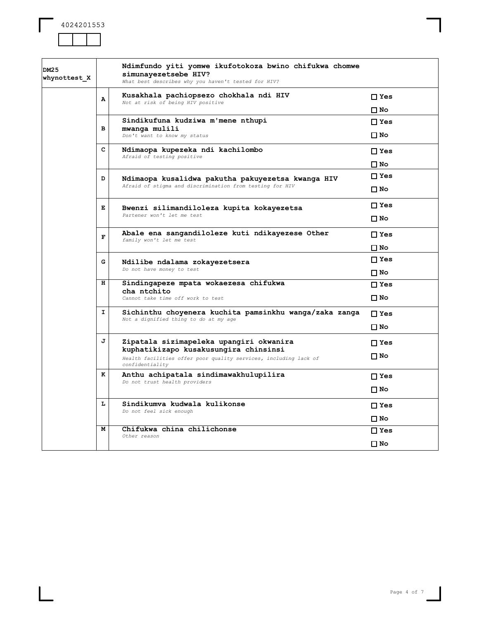

| DM25<br>whynottest X |    | Ndimfundo yiti yomwe ikufotokoza bwino chifukwa chomwe<br>simunayezetsebe HIV?<br>What best describes why you haven't tested for HIV? |               |
|----------------------|----|---------------------------------------------------------------------------------------------------------------------------------------|---------------|
|                      | Α  | Kusakhala pachiopsezo chokhala ndi HIV<br>Not at risk of being HIV positive                                                           | $\Box$ Yes    |
|                      |    |                                                                                                                                       | □ No          |
|                      |    | Sindikufuna kudziwa m'mene nthupi                                                                                                     | $\Box$ Yes    |
|                      | в  | mwanga mulili<br>Don't want to know my status                                                                                         | □ No          |
|                      | c  | Ndimaopa kupezeka ndi kachilombo<br>Afraid of testing positive                                                                        | $\Box$ Yes    |
|                      |    |                                                                                                                                       | □ No          |
|                      | D  | Ndimaopa kusalidwa pakutha pakuyezetsa kwanga HIV                                                                                     | $\square$ Yes |
|                      |    | Afraid of stigma and discrimination from testing for HIV                                                                              | $\square$ No  |
|                      | Е  | Bwenzi silimandiloleza kupita kokayezetsa                                                                                             | $\Box$ Yes    |
|                      |    | Partener won't let me test                                                                                                            | $\square$ No  |
|                      | F  | Abale ena sangandiloleze kuti ndikayezese Other<br>family won't let me test                                                           | $\square$ Yes |
|                      |    |                                                                                                                                       | □ No          |
|                      | G  | Ndilibe ndalama zokayezetsera                                                                                                         | $\square$ Yes |
|                      |    | Do not have money to test                                                                                                             | □ No          |
|                      | н  | Sindingapeze mpata wokaezesa chifukwa<br>cha ntchito                                                                                  | $\square$ Yes |
|                      |    | Cannot take time off work to test                                                                                                     | □ No          |
|                      | I. | Sichinthu choyenera kuchita pamsinkhu wanga/zaka zanga<br>Not a dignified thing to do at my age                                       | $\Box$ Yes    |
|                      |    |                                                                                                                                       | $\square$ No  |
|                      | J  | Zipatala sizimapeleka upangiri okwanira<br>kuphatikizapo kusakusungira chinsinsi                                                      | $\Box$ Yes    |
|                      |    | Health facilities offer poor quality services, including lack of<br>confidentiality                                                   | ΠNo           |
|                      | к  | Anthu achipatala sindimawakhulupilira<br>Do not trust health providers                                                                | $\square$ Yes |
|                      |    |                                                                                                                                       | ΠNo           |
|                      | Ŀ  | Sindikumva kudwala kulikonse<br>Do not feel sick enough                                                                               | $\Box$ Yes    |
|                      |    |                                                                                                                                       | □ No          |
|                      | м  | Chifukwa china chilichonse<br>Other reason                                                                                            | $\Box$ Yes    |
|                      |    |                                                                                                                                       | □ No          |
|                      |    |                                                                                                                                       |               |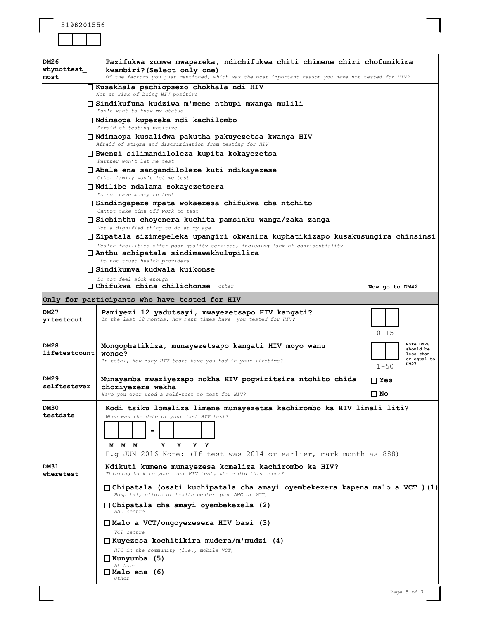

| DM26<br>whynottest<br>most   | Pazifukwa zomwe mwapereka, ndichifukwa chiti chimene chiri chofunikira<br>kwambiri? (Select only one)<br>Of the factors you just mentioned, which was the most important reason you have not tested for HIV?                                                                     |                |                                                            |
|------------------------------|----------------------------------------------------------------------------------------------------------------------------------------------------------------------------------------------------------------------------------------------------------------------------------|----------------|------------------------------------------------------------|
|                              | □ Kusakhala pachiopsezo chokhala ndi HIV<br>Not at risk of being HIV positive                                                                                                                                                                                                    |                |                                                            |
|                              | □ Sindikufuna kudziwa m'mene nthupi mwanga mulili<br>Don't want to know my status                                                                                                                                                                                                |                |                                                            |
|                              | □ Ndimaopa kupezeka ndi kachilombo<br>Afraid of testing positive                                                                                                                                                                                                                 |                |                                                            |
|                              | □ Ndimaopa kusalidwa pakutha pakuyezetsa kwanga HIV<br>Afraid of stigma and discrimination from testing for HIV                                                                                                                                                                  |                |                                                            |
|                              | □ Bwenzi silimandiloleza kupita kokayezetsa<br>Partner won't let me test                                                                                                                                                                                                         |                |                                                            |
|                              | □ Abale ena sangandiloleze kuti ndikayezese<br>Other family won't let me test                                                                                                                                                                                                    |                |                                                            |
|                              | □ Ndilibe ndalama zokayezetsera<br>Do not have money to test                                                                                                                                                                                                                     |                |                                                            |
|                              | □ Sindingapeze mpata wokaezesa chifukwa cha ntchito<br>Cannot take time off work to test                                                                                                                                                                                         |                |                                                            |
|                              | □ Sichinthu choyenera kuchita pamsinku wanga/zaka zanga<br>Not a dignified thing to do at my age                                                                                                                                                                                 |                |                                                            |
|                              | □ Zipatala sizimepeleka upangiri okwanira kuphatikizapo kusakusungira chinsinsi<br>Health facilities offer poor quality services, including lack of confidentiality<br>□ Anthu achipatala sindimawakhulupilira<br>Do not trust health providers<br>□ Sindikumva kudwala kuikonse |                |                                                            |
|                              | Do not feel sick enough<br>$\Box$ Chifukwa china chilichonse other                                                                                                                                                                                                               | Now go to DM42 |                                                            |
|                              | Only for participants who have tested for HIV                                                                                                                                                                                                                                    |                |                                                            |
| DM27<br>yrtestcout           | Pamiyezi 12 yadutsayi, mwayezetsapo HIV kangati?<br>In the last 12 months, how mant times have you tested for HIV?                                                                                                                                                               | $0 - 15$       |                                                            |
| <b>DM28</b><br>lifetestcount | Mongophatikiza, munayezetsapo kangati HIV moyo wanu<br>wonse?<br>In total, how many HIV tests have you had in your lifetime?                                                                                                                                                     | $1 - 50$       | Note DM28<br>should be<br>less than<br>or equal to<br>DM27 |
| DM29<br>selftestever         | Munayamba mwaziyezapo nokha HIV pogwiritsira ntchito chida<br>choziyezera wekha<br>Have you ever used a self-test to test for HIV?                                                                                                                                               | □ Yes<br>□ No  |                                                            |
| DM30<br>testdate             | Kodi tsiku lomaliza limene munayezetsa kachirombo ka HIV linali liti?<br>When was the date of your last HIV test?<br>M M M<br>Υ<br>Y<br>Y Y<br>E.g JUN-2016 Note: (If test was 2014 or earlier, mark month as 888)                                                               |                |                                                            |
| DM31<br>wheretest            | Ndikuti kumene munayezesa komaliza kachirombo ka HIV?<br>Thinking back to your last HIV test, where did this occur?                                                                                                                                                              |                |                                                            |
|                              | □ Chipatala (osati kuchipatala cha amayi oyembekezera kapena malo a VCT )(1)<br>Hospital, clinic or health center (not ANC or VCT)                                                                                                                                               |                |                                                            |
|                              | □ Chipatala cha amayi oyembekezela (2)<br>ANC centre                                                                                                                                                                                                                             |                |                                                            |
|                              | □ Malo a VCT/ongoyezesera HIV basi (3)<br>VCT centre                                                                                                                                                                                                                             |                |                                                            |
|                              | $\Box$ Kuyezesa kochitikira mudera/m'mudzi (4)<br>HTC in the community (i.e., mobile VCT)<br>$\Box$ Kunyumba (5)<br>At home                                                                                                                                                      |                |                                                            |
|                              | $\Box$ Malo ena (6)<br>Other                                                                                                                                                                                                                                                     |                |                                                            |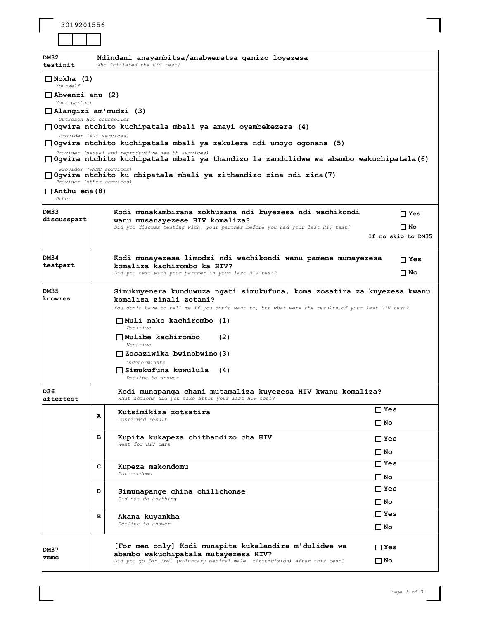| 3019201556 |  |  |  |  |
|------------|--|--|--|--|
|------------|--|--|--|--|

| <b>DM32</b><br>testinit                | Ndindani anayambitsa/anabweretsa qanizo loyezesa<br>Who initiated the HIV test?                                                                                                                                                                                                                                                                                                                                   |                                 |  |  |
|----------------------------------------|-------------------------------------------------------------------------------------------------------------------------------------------------------------------------------------------------------------------------------------------------------------------------------------------------------------------------------------------------------------------------------------------------------------------|---------------------------------|--|--|
| $\Box$ Nokha (1)<br>Yourself           |                                                                                                                                                                                                                                                                                                                                                                                                                   |                                 |  |  |
| $\Box$ Abwenzi anu (2)<br>Your partner | $\Box$ Alangizi am'mudzi (3)<br>Outreach HTC counsellor                                                                                                                                                                                                                                                                                                                                                           |                                 |  |  |
|                                        | □ Ogwira ntchito kuchipatala mbali ya amayi oyembekezera (4)<br>Provider (ANC services)<br>□ Ogwira ntchito kuchipatala mbali ya zakulera ndi umoyo ogonana (5)                                                                                                                                                                                                                                                   |                                 |  |  |
|                                        | Provider (sexual and reproductive health services)<br>□ Ogwira ntchito kuchipatala mbali ya thandizo la zamdulidwe wa abambo wakuchipatala(6)                                                                                                                                                                                                                                                                     |                                 |  |  |
| $\Box$ Anthu ena (8)<br>Other          | Provider (VMMC services)<br>□ Ogwira ntchito ku chipatala mbali ya zithandizo zina ndi zina (7)<br>Provider (other services)                                                                                                                                                                                                                                                                                      |                                 |  |  |
| DM33<br>discusspart                    | Kodi munakambirana zokhuzana ndi kuyezesa ndi wachikondi<br>wanu musanayezese HIV komaliza?                                                                                                                                                                                                                                                                                                                       | $\Box$ Yes                      |  |  |
|                                        | Did you discuss testing with your partner before you had your last HIV test?                                                                                                                                                                                                                                                                                                                                      | $\Box$ No<br>If no skip to DM35 |  |  |
| DM34<br>testpart                       | Kodi munayezesa limodzi ndi wachikondi wanu pamene mumayezesa                                                                                                                                                                                                                                                                                                                                                     | $\Box$ Yes                      |  |  |
|                                        | komaliza kachirombo ka HIV?<br>Did you test with your partner in your last HIV test?                                                                                                                                                                                                                                                                                                                              | □ No                            |  |  |
| DM35<br>knowres                        | Simukuyenera kunduwuza ngati simukufuna, koma zosatira za kuyezesa kwanu<br>komaliza zinali zotani?<br>You don't have to tell me if you don't want to, but what were the results of your last HIV test?<br>$\Box$ Muli nako kachirombo (1)<br>Positive<br>$\Box$ Mulibe kachirombo<br>(2)<br>Negative<br>$\Box$ Zosaziwika bwinobwino (3)<br>Indeterminate<br>$\Box$ Simukufuna kuwulula (4)<br>Decline to answer |                                 |  |  |
| D36.<br>aftertest                      | Kodi munapanga chani mutamaliza kuyezesa HIV kwanu komaliza?<br>What actions did you take after your last HIV test?                                                                                                                                                                                                                                                                                               |                                 |  |  |
|                                        | Kutsimikiza zotsatira<br>А<br>Confirmed result                                                                                                                                                                                                                                                                                                                                                                    | $\Box$ Yes                      |  |  |
|                                        |                                                                                                                                                                                                                                                                                                                                                                                                                   | □ No                            |  |  |
|                                        | в<br>Kupita kukapeza chithandizo cha HIV<br>Went for HIV care                                                                                                                                                                                                                                                                                                                                                     | $\sqcap$ Yes                    |  |  |
|                                        |                                                                                                                                                                                                                                                                                                                                                                                                                   | ⊟ No<br>$\Box$ Yes              |  |  |
|                                        | с<br>Kupeza makondomu<br>Got condoms                                                                                                                                                                                                                                                                                                                                                                              | □ No                            |  |  |
|                                        | D<br>Simunapange china chilichonse<br>Did not do anything                                                                                                                                                                                                                                                                                                                                                         | $\Box$ Yes<br>⊟ No              |  |  |
|                                        | Е<br>Akana kuyankha<br>Decline to answer                                                                                                                                                                                                                                                                                                                                                                          | $\Box$ Yes<br>$\square$ No      |  |  |
| DM37<br>vmmc                           | [For men only] Kodi munapita kukalandira m'dulidwe wa<br>abambo wakuchipatala mutayezesa HIV?<br>Did you go for VMMC (voluntary medical male circumcision) after this test?                                                                                                                                                                                                                                       | □ Yes<br>□ No                   |  |  |

 $\overline{\phantom{a}}$